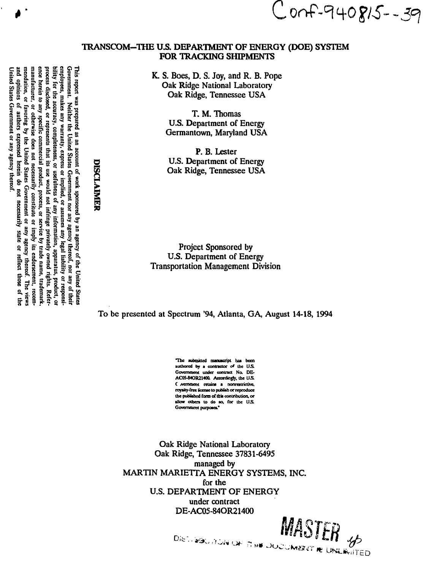employees, makes any warranty, express or implied, or assumes any legal liability or responsibility for the accuracy, completeness, or usefulness of any information, apparatus, product, or manufacturer, or otherwise does not necessarily constitute or imply its endorsement, recommendation, or favoring by the United States Government or any agency thereof. The views and opinions of authors expressed herein do ence herein to Government. process disclosed, or represents that its use would not infringe privately owned rights. Refer-This report was prepared as an account of work sponsored by an agency of the United States Government. Neither the United States Government and a space of their United States Government or any agency thereof  $\sinh$ specific commercial product, process, or service by trade name, trademark.

# Conf-940815--39

#### TRANSCOM-THE U.S. DEPARTMENT OF ENERGY (DOE) SYSTEM **FOR TRACKING SHIPMENTS**

K. S. Boes, D. S. Joy, and R. B. Pope Oak Ridge National Laboratory Oak Ridge, Tennessee USA

> T. M. Thomas **U.S. Department of Energy** Germantown, Maryland USA

P. B. Lester U.S. Department of Energy Oak Ridge, Tennessee USA

**Project Sponsored by U.S. Department of Energy Transportation Management Division** 

To be presented at Spectrum '94, Atlanta, GA, August 14-18, 1994

The submitted manuscript has been authored by a contractor of the U.S. Government under contract No. DE-AC05-84OR21400. Accordingly, the U.S. C Aremment retains a nonrestrictive, royalty-free license to publish or reproduce the published form of this contribution, or allow others to do so, for the U.S. Government purposes."

Oak Ridge National Laboratory Oak Ridge, Tennessee 37831-6495 managed by MARTIN MARIETTA ENERGY SYSTEMS, INC. for the **U.S. DEPARTMENT OF ENERGY** under contract DE-AC05-84OR21400

MASTER 45 DISTURBO JIDAN ON ITH A DOCUMERATIVE UNLINGTED

DISCLAIMER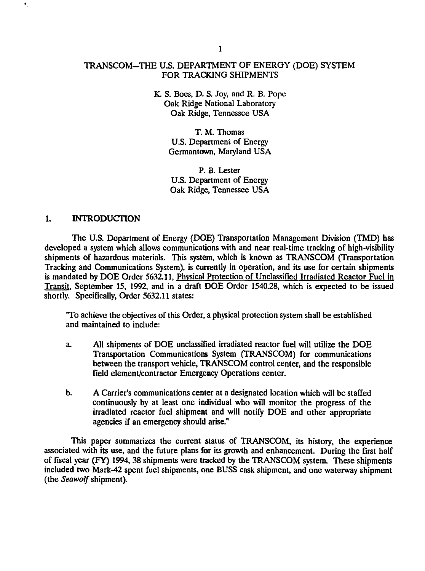# TRANSCOM-THE U.S. DEPARTMENT OF ENERGY (DOE) SYSTEM FOR TRACKING SHIPMENTS

### K. S. Boes, D. S. Joy, and R. B. Pope Oak Ridge National Laboratory Oak Ridge, Tennessee USA

T. M. Thomas U.S. Department of Energy Germantown, Maryland USA

P. B. Lester U.S. Department of Energy Oak Ridge, Tennessee USA

# 1. INTRODUCTION

The U.S. Department of Energy (DOE) Transportation Management Division (TMD) has developed a system which allows communications with and near real-time tracking of high-visibility shipments of hazardous materials. This system, which is known as TRANSCOM (Transportation Tracking and Communications System), is currently in operation, and its use for certain shipments is mandated by DOE Order 5632.11, Physical Protection of Unclassified Irradiated Reactor Fuel in Transit, September 15, 1992, and in a draft DOE Order 1540.28, which is expected to be issued shortly. Specifically, Order 5632.11 states:

T o achieve the objectives of this Order, a physical protection system shall be established and maintained to include:

- a. All shipments of DOE unclassified irradiated reactor fuel will utilize the DOE Transportation Communications System (TRANSCOM) for communications between the transport vehicle, TRANSCOM control center, and the responsible field element/contractor Emergency Operations center.
- b. A Carrier's communications center at a designated location which will be staffed continuously by at least one individual who will monitor the progress of the irradiated reactor fuel shipment and will notify DOE and other appropriate agencies if an emergency should arise."

This paper summarizes the current status of TRANSCOM, its history, the experience associated with its use, and the future plans for its growth and enhancement. During the first half of fiscal year (FY) 1994, 38 shipments were tracked by the TRANSCOM system. These shipments included two Mark-42 spent fuel shipments, one BUSS cask shipment, and one waterway shipment (the *Seawolf* shipment).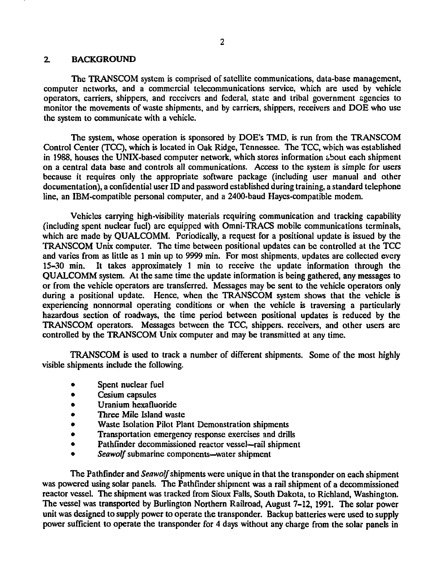#### 2. BACKGROUND

The TRANSCOM system is comprised of satellite communications, data-base management, computer networks, and a commercial telecommunications service, which are used by vehicle operators, carriers, shippers, and receivers and federal, state and tribal government agencies to monitor the movements of waste shipments, and by carriers, shippers, receivers and DOE who use the system to communicate with a vehicle.

The system, whose operation is sponsored by DOE's TMD, is run from the TRANSCOM Control Center (TCQ, which is located in Oak Ridge, Tennessee. The TCC, which was established in 1988, houses the UNIX-based computer network, which stores information about each shipment on a central data base and controls all communications. Access to the system is simple for users because it requires only the appropriate software package (including user manual and other documentation), a confidential user ID and password established during training, a standard telephone line, an IBM-compatible personal computer, and a 2400-baud Hayes-compatible modem.

Vehicles carrying high-visibility materials requiring communication and tracking capability (including spent nuclear fuel) are equipped with Omni-TRACS mobile communications terminals, which are made by QUALCOMM. Periodically, a request for a positional update is issued by the TRANSCOM Unix computer. The time between positional updates can be controlled at the TCC and varies from as little as 1 min up to 9999 min. For most shipments, updates are collected every 15-30 min. It takes approximately 1 min to receive the update information through the QUALCOMM system. At the same time the update information is being gathered, any messages to or from the vehicle operators are transferred. Messages may be sent to the vehicle operators only during a positional update. Hence, when the TRANSCOM system shows that the vehicle is experiencing nonnormal operating conditions or when the vehicle is traversing a particularly hazardous section of roadways, the time period between positional updates is reduced by the TRANSCOM operators. Messages between the TCC, shippers, receivers, and other users are controlled by the TRANSCOM Unix computer and may be transmitted at any time.

TRANSCOM is used to track a number of different shipments. Some of the most highly visible shipments include the following.

- Spent nuclear fuel  $\bullet$
- Cesium capsules
- Uranium hexafluoride
- Three Mile Island waste
- Waste Isolation Pilot Plant Demonstration shipments
- Transportation emergency response exercises and drills
- Pathfinder decommissioned reactor vessel—rail shipment
- *Seawolf* submarine components—water shipment

The Pathfinder and *Seawolf* shipments were unique in that the transponder on each shipment was powered using solar panels. The Pathfinder shipment was a rail shipment of a decommissioned reactor vessel. The shipment was tracked from Sioux Falls, South Dakota, to Richland, Washington. The vessel was transported by Burlington Northern Railroad, August 7-12, 1991. The solar power unit was designed to supply power to operate the transponder. Backup batteries were used to supply power sufficient to operate the transponder for 4 days without any charge from the solar panels in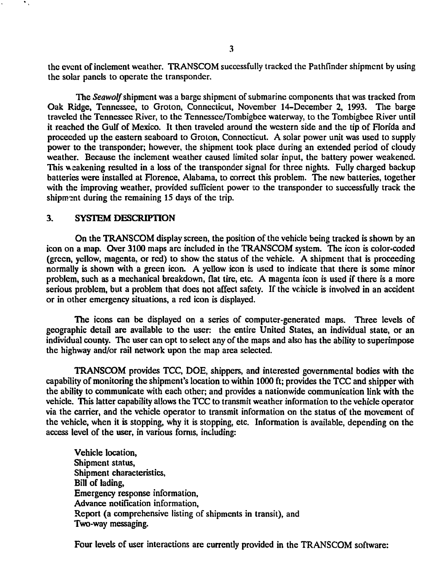the event of inclement weather. TRANSCOM successfully tracked the Pathfinder shipment by using the solar panels to operate the transponder.

The *Seawolf* shipment was a barge shipment of submarine components that was tracked from Oak Ridge, Tennessee, to Groton, Connecticut, November 14-December 2, 1993. The barge traveled the Tennessee River, to the Tennessee/Tombigbee waterway, to the Tombigbee River until it reached the Gulf of Mexico. It then traveled around the western side and the tip of Florida and proceeded up the eastern seaboard to Groton, Connecticut. A solar power unit was used to supply power to the transponder; however, the shipment took place during an extended period of cloudy weather. Because the inclement weather caused limited solar input, the battery power weakened. This weakening resulted in a loss of the transponder signal for three nights. Fully charged backup batteries were installed at Florence, Alabama, to correct this problem. The new batteries, together with the improving weather, provided sufficient power to the transponder to successfully track the shipment during the remaining 15 days of the trip.

#### **3. SYSTEM DESCRIPTION**

On the TRANSCOM display screen, the position of the vehicle being tracked is shown by an icon on a map. Over 3100 maps are included in the TRANSCOM system. The icon is color-coded (green, yellow, magenta, or red) to show the status of the vehicle. A shipment that is proceeding normally is shown with a green icon. A yellow icon is used to indicate that there is some minor problem, such as a mechanical breakdown, flat tire, etc. A magenta icon is used if there is a more serious problem, but a problem that does not affect safely. If the vehicle is involved in an accident or in other emergency situations, a red icon is displayed.

The icons can be displayed on a series of computer-generated maps. Three levels of geographic detail are available to the user: the entire United States, an individual state, or an individual county. The user can opt to select any of the maps and also has the ability to superimpose the highway and/or rail network upon the map area selected.

TRANSCOM provides TCC, DOE, shippers, and interested governmental bodies with the capability of monitoring the shipment's location to within 1000 ft; provides the TCC and shipper with the ability to communicate with each other; and provides a nationwide communication link with the vehicle. This latter capability allows the TCC to transmit weather information to the vehicle operator via the carrier, and the vehicle operator to transmit information on the status of the movement of the vehicle, when it is stopping, why it is stopping, etc. Information is available, depending on the access level of the user, in various forms, including:

Vehicle location, Shipment status, Shipment characteristics, Bill of lading, Emergency response information, Advance notification information, Report (a comprehensive listing of shipments in transit), and Two-way messaging.

Four levels of user interactions are currently provided in the TRANSCOM software:

**3**